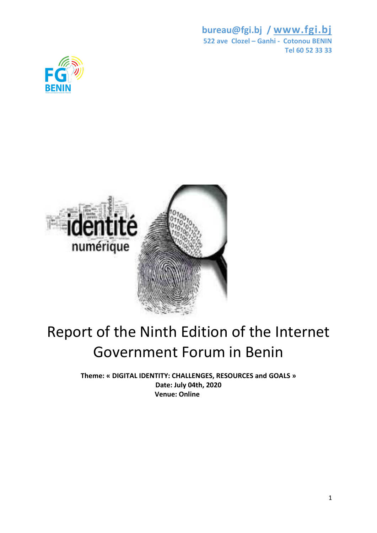



## Report of the Ninth Edition of the Internet Government Forum in Benin

**Theme: « DIGITAL IDENTITY: CHALLENGES, RESOURCES and GOALS » Date: July 04th, 2020 Venue: Online**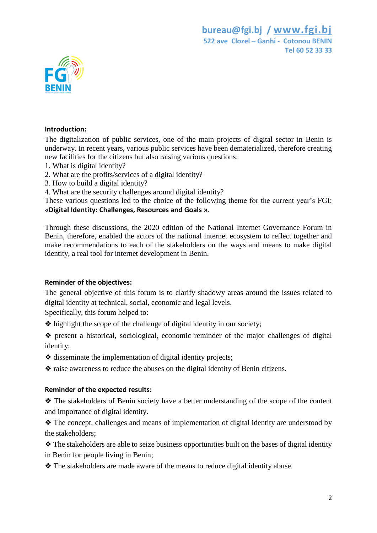

## **Introduction:**

The digitalization of public services, one of the main projects of digital sector in Benin is underway. In recent years, various public services have been dematerialized, therefore creating new facilities for the citizens but also raising various questions:

- 1. What is digital identity?
- 2. What are the profits/services of a digital identity?
- 3. How to build a digital identity?
- 4. What are the security challenges around digital identity?

These various questions led to the choice of the following theme for the current year's FGI: **«Digital Identity: Challenges, Resources and Goals »**.

Through these discussions, the 2020 edition of the National Internet Governance Forum in Benin, therefore, enabled the actors of the national internet ecosystem to reflect together and make recommendations to each of the stakeholders on the ways and means to make digital identity, a real tool for internet development in Benin.

## **Reminder of the objectives:**

The general objective of this forum is to clarify shadowy areas around the issues related to digital identity at technical, social, economic and legal levels.

Specifically, this forum helped to:

❖ highlight the scope of the challenge of digital identity in our society;

❖ present a historical, sociological, economic reminder of the major challenges of digital identity;

- ❖ disseminate the implementation of digital identity projects;
- ❖ raise awareness to reduce the abuses on the digital identity of Benin citizens.

## **Reminder of the expected results:**

❖ The stakeholders of Benin society have a better understanding of the scope of the content and importance of digital identity.

❖ The concept, challenges and means of implementation of digital identity are understood by the stakeholders;

❖ The stakeholders are able to seize business opportunities built on the bases of digital identity in Benin for people living in Benin;

❖ The stakeholders are made aware of the means to reduce digital identity abuse.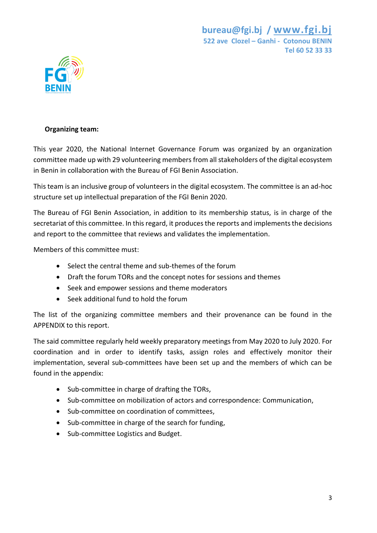

## **Organizing team:**

This year 2020, the National Internet Governance Forum was organized by an organization committee made up with 29 volunteering members from all stakeholders of the digital ecosystem in Benin in collaboration with the Bureau of FGI Benin Association.

This team is an inclusive group of volunteers in the digital ecosystem. The committee is an ad-hoc structure set up intellectual preparation of the FGI Benin 2020.

The Bureau of FGI Benin Association, in addition to its membership status, is in charge of the secretariat of this committee. In this regard, it produces the reports and implements the decisions and report to the committee that reviews and validates the implementation.

Members of this committee must:

- Select the central theme and sub-themes of the forum
- Draft the forum TORs and the concept notes for sessions and themes
- Seek and empower sessions and theme moderators
- Seek additional fund to hold the forum

The list of the organizing committee members and their provenance can be found in the APPENDIX to this report.

The said committee regularly held weekly preparatory meetings from May 2020 to July 2020. For coordination and in order to identify tasks, assign roles and effectively monitor their implementation, several sub-committees have been set up and the members of which can be found in the appendix:

- Sub-committee in charge of drafting the TORs,
- Sub-committee on mobilization of actors and correspondence: Communication,
- Sub-committee on coordination of committees,
- Sub-committee in charge of the search for funding,
- Sub-committee Logistics and Budget.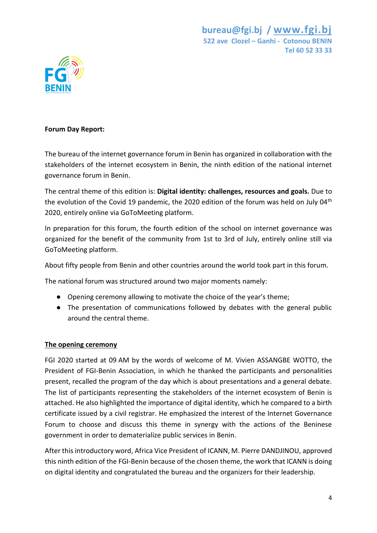

## **Forum Day Report:**

The bureau of the internet governance forum in Benin has organized in collaboration with the stakeholders of the internet ecosystem in Benin, the ninth edition of the national internet governance forum in Benin.

The central theme of this edition is: **Digital identity: challenges, resources and goals.** Due to the evolution of the Covid 19 pandemic, the 2020 edition of the forum was held on July 04<sup>th</sup> 2020, entirely online via GoToMeeting platform.

In preparation for this forum, the fourth edition of the school on internet governance was organized for the benefit of the community from 1st to 3rd of July, entirely online still via GoToMeeting platform.

About fifty people from Benin and other countries around the world took part in this forum.

The national forum was structured around two major moments namely:

- Opening ceremony allowing to motivate the choice of the year's theme;
- The presentation of communications followed by debates with the general public around the central theme.

## **The opening ceremony**

FGI 2020 started at 09 AM by the words of welcome of M. Vivien ASSANGBE WOTTO, the President of FGI-Benin Association, in which he thanked the participants and personalities present, recalled the program of the day which is about presentations and a general debate. The list of participants representing the stakeholders of the internet ecosystem of Benin is attached. He also highlighted the importance of digital identity, which he compared to a birth certificate issued by a civil registrar. He emphasized the interest of the Internet Governance Forum to choose and discuss this theme in synergy with the actions of the Beninese government in order to dematerialize public services in Benin.

After this introductory word, Africa Vice President of ICANN, M. Pierre DANDJINOU, approved this ninth edition of the FGI-Benin because of the chosen theme, the work that ICANN is doing on digital identity and congratulated the bureau and the organizers for their leadership.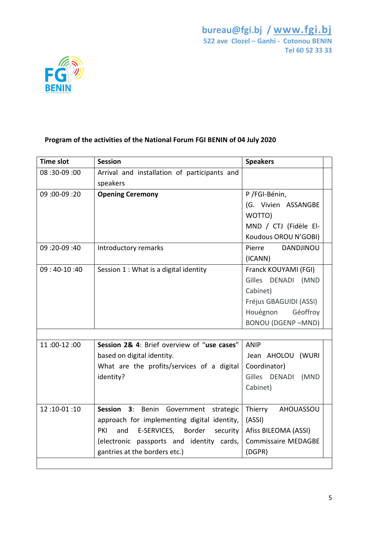

## **Program of the activities of the National Forum FGI BENIN of 04 July 2020**

| <b>Time slot</b> | <b>Session</b>                                  | <b>Speakers</b>            |
|------------------|-------------------------------------------------|----------------------------|
| 08: 00-09: 00    | Arrival and installation of participants and    |                            |
|                  | speakers                                        |                            |
| 09: 00-09: 00    | <b>Opening Ceremony</b>                         | P /FGI-Bénin,              |
|                  |                                                 | (G. Vivien ASSANGBE        |
|                  |                                                 | WOTTO)                     |
|                  |                                                 | MND / CTJ (Fidèle El-      |
|                  |                                                 | Koudous OROU N'GOBI)       |
| 09: 09-09: 09    | Introductory remarks                            | Pierre<br><b>DANDJINOU</b> |
|                  |                                                 | (ICANN)                    |
| $09:40-10:40$    | Session 1 : What is a digital identity          | Franck KOUYAMI (FGI)       |
|                  |                                                 | Gilles DENADI (MND         |
|                  |                                                 | Cabinet)                   |
|                  |                                                 | Fréjus GBAGUIDI (ASSI)     |
|                  |                                                 | Houégnon<br>Géoffroy       |
|                  |                                                 | <b>BONOU (DGENP-MND)</b>   |
|                  |                                                 |                            |
| 11:00-12:00      | Session 2& 4: Brief overview of "use cases"     | <b>ANIP</b>                |
|                  | based on digital identity.                      | Jean AHOLOU (WURI          |
|                  | What are the profits/services of a digital      | Coordinator)               |
|                  | identity?                                       | Gilles DENADI (MND         |
|                  |                                                 | Cabinet)                   |
|                  |                                                 |                            |
| 12:10-01:10      | Session 3: Benin Government<br>strategic        | Thierry<br>AHOUASSOU       |
|                  | approach for implementing digital identity,     | (ASSI)                     |
|                  | E-SERVICES,<br>Border<br>PKI<br>and<br>security | Afiss BILEOMA (ASSI)       |
|                  | (electronic passports and identity cards,       | Commissaire MEDAGBE        |
|                  | gantries at the borders etc.)                   | (DGPR)                     |
|                  |                                                 |                            |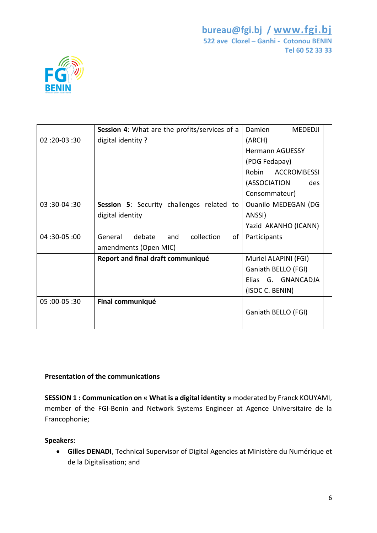

|               | Session 4: What are the profits/services of a | Damien<br><b>MEDEDJI</b>   |  |
|---------------|-----------------------------------------------|----------------------------|--|
| 02: 02-03: 02 | digital identity?                             | (ARCH)                     |  |
|               |                                               | <b>Hermann AGUESSY</b>     |  |
|               |                                               | (PDG Fedapay)              |  |
|               |                                               | ACCROMBESSI<br>Robin       |  |
|               |                                               | (ASSOCIATION<br>des        |  |
|               |                                               | Consommateur)              |  |
| 03:30-04:30   | Session 5: Security challenges related to     | <b>Ouanilo MEDEGAN (DG</b> |  |
|               | digital identity                              | ANSSI)                     |  |
|               |                                               | Yazid AKANHO (ICANN)       |  |
| 04: 30-05: 00 | General<br>debate<br>collection<br>of<br>and  | Participants               |  |
|               | amendments (Open MIC)                         |                            |  |
|               | Report and final draft communiqué             | Muriel ALAPINI (FGI)       |  |
|               |                                               | Ganiath BELLO (FGI)        |  |
|               |                                               | Elias G. GNANCADJA         |  |
|               |                                               | (ISOC C. BENIN)            |  |
| 05: 00-05: 00 | Final communiqué                              |                            |  |
|               |                                               | Ganiath BELLO (FGI)        |  |
|               |                                               |                            |  |

## **Presentation of the communications**

**SESSION 1 : Communication on « What is a digital identity »** moderated by Franck KOUYAMI, member of the FGI-Benin and Network Systems Engineer at Agence Universitaire de la Francophonie;

## **Speakers:**

 **Gilles DENADI**, Technical Supervisor of Digital Agencies at Ministère du Numérique et de la Digitalisation; and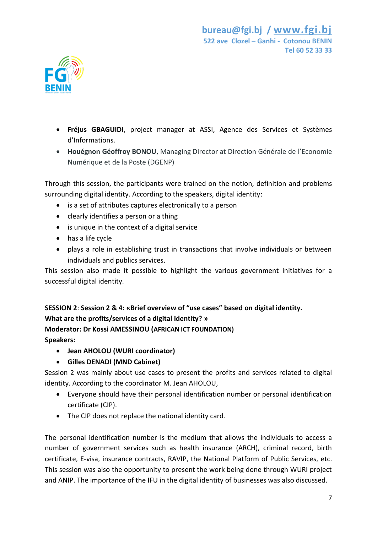

- **Fréjus GBAGUIDI**, project manager at ASSI, Agence des Services et Systèmes d'Informations.
- **Houégnon Géoffroy BONOU**, Managing Director at Direction Générale de l'Economie Numérique et de la Poste (DGENP)

Through this session, the participants were trained on the notion, definition and problems surrounding digital identity. According to the speakers, digital identity:

- is a set of attributes captures electronically to a person
- clearly identifies a person or a thing
- is unique in the context of a digital service
- has a life cycle
- plays a role in establishing trust in transactions that involve individuals or between individuals and publics services.

This session also made it possible to highlight the various government initiatives for a successful digital identity.

**SESSION 2**: **Session 2 & 4: «Brief overview of "use cases" based on digital identity. What are the profits/services of a digital identity? »**

**Moderator: Dr Kossi AMESSINOU (AFRICAN ICT FOUNDATION)**

**Speakers:** 

- **Jean AHOLOU (WURI coordinator)**
- **Gilles DENADI (MND Cabinet)**

Session 2 was mainly about use cases to present the profits and services related to digital identity. According to the coordinator M. Jean AHOLOU,

- Everyone should have their personal identification number or personal identification certificate (CIP).
- The CIP does not replace the national identity card.

The personal identification number is the medium that allows the individuals to access a number of government services such as health insurance (ARCH), criminal record, birth certificate, E-visa, insurance contracts, RAVIP, the National Platform of Public Services, etc. This session was also the opportunity to present the work being done through WURI project and ANIP. The importance of the IFU in the digital identity of businesses was also discussed.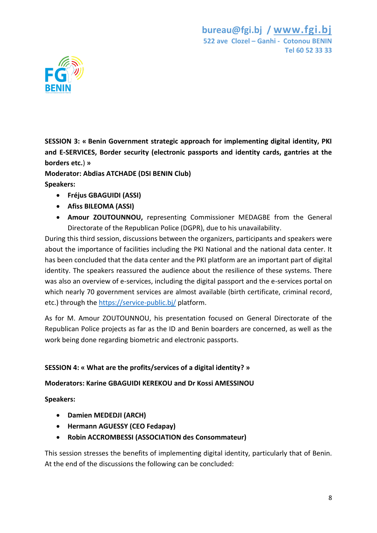

**SESSION 3: « Benin Government strategic approach for implementing digital identity, PKI and E-SERVICES, Border security (electronic passports and identity cards, gantries at the borders etc.**) **»**

**Moderator: Abdias ATCHADE (DSI BENIN Club) Speakers:**

- **Fréjus GBAGUIDI (ASSI)**
- **Afiss BILEOMA (ASSI)**
- **Amour ZOUTOUNNOU,** representing Commissioner MEDAGBE from the General Directorate of the Republican Police (DGPR), due to his unavailability.

During this third session, discussions between the organizers, participants and speakers were about the importance of facilities including the PKI National and the national data center. It has been concluded that the data center and the PKI platform are an important part of digital identity. The speakers reassured the audience about the resilience of these systems. There was also an overview of e-services, including the digital passport and the e-services portal on which nearly 70 government services are almost available (birth certificate, criminal record, etc.) through the<https://service-public.bj/> platform.

As for M. Amour ZOUTOUNNOU, his presentation focused on General Directorate of the Republican Police projects as far as the ID and Benin boarders are concerned, as well as the work being done regarding biometric and electronic passports.

## **SESSION 4: « What are the profits/services of a digital identity? »**

## **Moderators: Karine GBAGUIDI KEREKOU and Dr Kossi AMESSINOU**

**Speakers:**

- **Damien MEDEDJI (ARCH)**
- **Hermann AGUESSY (CEO Fedapay)**
- **Robin ACCROMBESSI (ASSOCIATION des Consommateur)**

This session stresses the benefits of implementing digital identity, particularly that of Benin. At the end of the discussions the following can be concluded: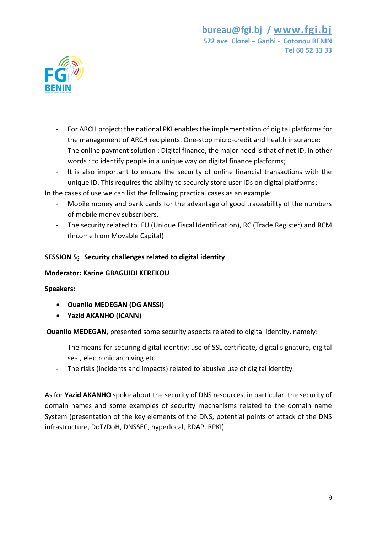

- For ARCH project: the national PKI enables the implementation of digital platforms for the management of ARCH recipients. One-stop micro-credit and health insurance;
- The online payment solution : Digital finance, the major need is that of net ID, in other words : to identify people in a unique way on digital finance platforms;
- It is also important to ensure the security of online financial transactions with the unique ID. This requires the ability to securely store user IDs on digital platforms;

In the cases of use we can list the following practical cases as an example:

- Mobile money and bank cards for the advantage of good traceability of the numbers of mobile money subscribers.
- The security related to IFU (Unique Fiscal Identification), RC (Trade Register) and RCM (Income from Movable Capital)

## **SESSION 5: Security challenges related to digital identity**

## **Moderator: Karine GBAGUIDI KEREKOU**

## **Speakers:**

- **Ouanilo MEDEGAN (DG ANSSI)**
- **Yazid AKANHO (ICANN)**

**Ouanilo MEDEGAN,** presented some security aspects related to digital identity, namely:

- The means for securing digital identity: use of SSL certificate, digital signature, digital seal, electronic archiving etc.
- The risks (incidents and impacts) related to abusive use of digital identity.

As for **Yazid AKANHO** spoke about the security of DNS resources, in particular, the security of domain names and some examples of security mechanisms related to the domain name System (presentation of the key elements of the DNS, potential points of attack of the DNS infrastructure, DoT/DoH, DNSSEC, hyperlocal, RDAP, RPKI)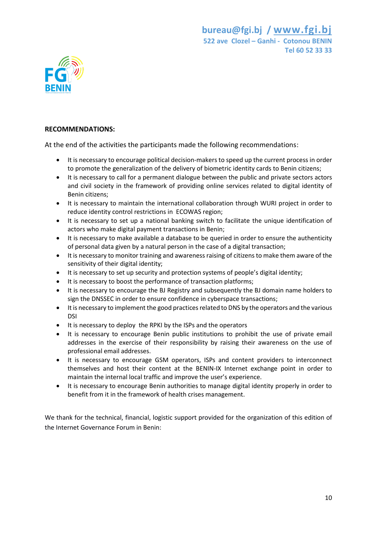

#### **RECOMMENDATIONS:**

At the end of the activities the participants made the following recommendations:

- It is necessary to encourage political decision-makers to speed up the current process in order to promote the generalization of the delivery of biometric identity cards to Benin citizens;
- It is necessary to call for a permanent dialogue between the public and private sectors actors and civil society in the framework of providing online services related to digital identity of Benin citizens;
- It is necessary to maintain the international collaboration through WURI project in order to reduce identity control restrictions in ECOWAS region;
- It is necessary to set up a national banking switch to facilitate the unique identification of actors who make digital payment transactions in Benin;
- It is necessary to make available a database to be queried in order to ensure the authenticity of personal data given by a natural person in the case of a digital transaction;
- It is necessary to monitor training and awareness raising of citizens to make them aware of the sensitivity of their digital identity;
- It is necessary to set up security and protection systems of people's digital identity;
- It is necessary to boost the performance of transaction platforms;
- It is necessary to encourage the BJ Registry and subsequently the BJ domain name holders to sign the DNSSEC in order to ensure confidence in cyberspace transactions;
- It is necessary to implement the good practices related to DNS by the operators and the various DSI
- It is necessary to deploy the RPKI by the ISPs and the operators
- It is necessary to encourage Benin public institutions to prohibit the use of private email addresses in the exercise of their responsibility by raising their awareness on the use of professional email addresses.
- It is necessary to encourage GSM operators, ISPs and content providers to interconnect themselves and host their content at the BENIN-IX Internet exchange point in order to maintain the internal local traffic and improve the user's experience.
- It is necessary to encourage Benin authorities to manage digital identity properly in order to benefit from it in the framework of health crises management.

We thank for the technical, financial, logistic support provided for the organization of this edition of the Internet Governance Forum in Benin: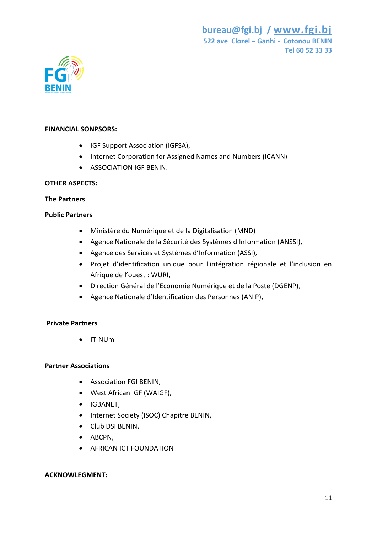

## **FINANCIAL SONPSORS:**

- IGF Support Association (IGFSA),
- Internet Corporation for Assigned Names and Numbers (ICANN)
- **ASSOCIATION IGF BENIN.**

#### **OTHER ASPECTS:**

#### **The Partners**

#### **Public Partners**

- Ministère du Numérique et de la Digitalisation (MND)
- Agence Nationale de la Sécurité des Systèmes d'Information (ANSSI),
- Agence des Services et Systèmes d'Information (ASSI),
- Projet d'identification unique pour l'intégration régionale et l'inclusion en Afrique de l'ouest : WURI,
- Direction Général de l'Economie Numérique et de la Poste (DGENP),
- Agence Nationale d'Identification des Personnes (ANIP),

## **Private Partners**

IT-NUm

## **Partner Associations**

- Association FGI BENIN,
- West African IGF (WAIGF),
- IGBANET,
- Internet Society (ISOC) Chapitre BENIN,
- Club DSI BENIN,
- ABCPN,
- **AFRICAN ICT FOUNDATION**

## **ACKNOWLEGMENT:**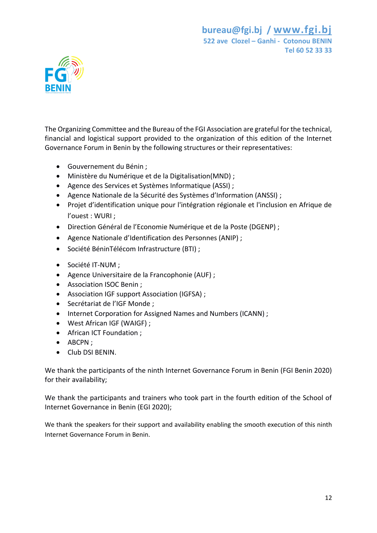

The Organizing Committee and the Bureau of the FGI Association are grateful for the technical, financial and logistical support provided to the organization of this edition of the Internet Governance Forum in Benin by the following structures or their representatives:

- Gouvernement du Bénin ;
- Ministère du Numérique et de la Digitalisation(MND) ;
- Agence des Services et Systèmes Informatique (ASSI) ;
- Agence Nationale de la Sécurité des Systèmes d'Information (ANSSI) ;
- Projet d'identification unique pour l'intégration régionale et l'inclusion en Afrique de l'ouest : WURI ;
- Direction Général de l'Economie Numérique et de la Poste (DGENP) ;
- Agence Nationale d'Identification des Personnes (ANIP) ;
- Société BéninTélécom Infrastructure (BTI) ;
- Société IT-NUM ;
- Agence Universitaire de la Francophonie (AUF) ;
- Association ISOC Benin ;
- Association IGF support Association (IGFSA) ;
- Secrétariat de l'IGF Monde ;
- Internet Corporation for Assigned Names and Numbers (ICANN) ;
- West African IGF (WAIGF) ;
- African ICT Foundation ;
- ABCPN ;
- **Club DSI BENIN**

We thank the participants of the ninth Internet Governance Forum in Benin (FGI Benin 2020) for their availability;

We thank the participants and trainers who took part in the fourth edition of the School of Internet Governance in Benin (EGI 2020);

We thank the speakers for their support and availability enabling the smooth execution of this ninth Internet Governance Forum in Benin.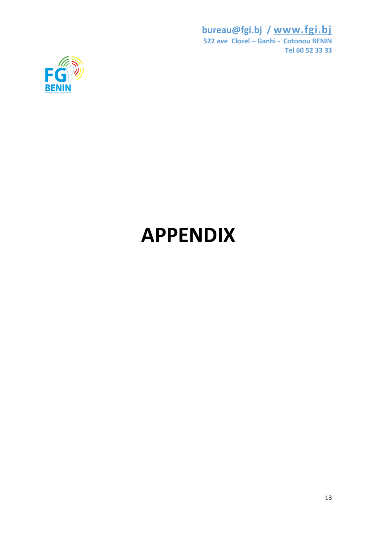

# **APPENDIX**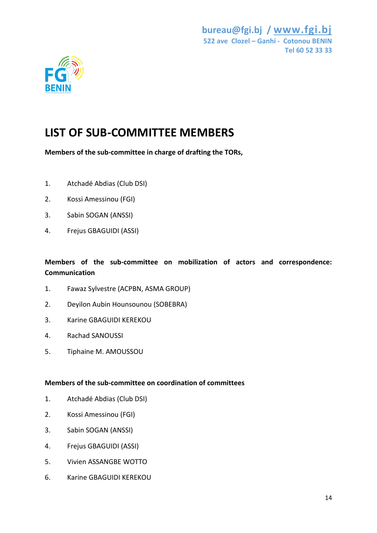

## **LIST OF SUB-COMMITTEE MEMBERS**

**Members of the sub-committee in charge of drafting the TORs,**

- 1. Atchadé Abdias (Club DSI)
- 2. Kossi Amessinou (FGI)
- 3. Sabin SOGAN (ANSSI)
- 4. Frejus GBAGUIDI (ASSI)

## **Members of the sub-committee on mobilization of actors and correspondence: Communication**

- 1. Fawaz Sylvestre (ACPBN, ASMA GROUP)
- 2. Deyilon Aubin Hounsounou (SOBEBRA)
- 3. Karine GBAGUIDI KEREKOU
- 4. Rachad SANOUSSI
- 5. Tiphaine M. AMOUSSOU

## **Members of the sub-committee on coordination of committees**

- 1. Atchadé Abdias (Club DSI)
- 2. Kossi Amessinou (FGI)
- 3. Sabin SOGAN (ANSSI)
- 4. Frejus GBAGUIDI (ASSI)
- 5. Vivien ASSANGBE WOTTO
- 6. Karine GBAGUIDI KEREKOU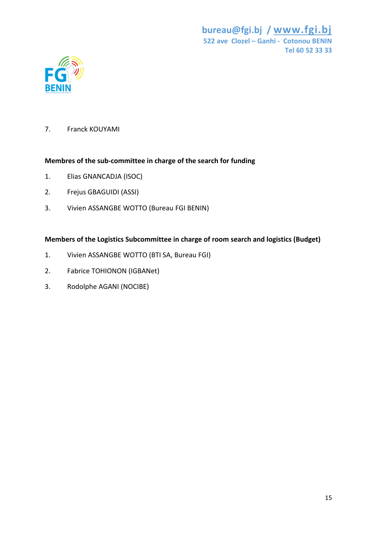

7. Franck KOUYAMI

## **Membres of the sub-committee in charge of the search for funding**

- 1. Elias GNANCADJA (ISOC)
- 2. Frejus GBAGUIDI (ASSI)
- 3. Vivien ASSANGBE WOTTO (Bureau FGI BENIN)

## **Members of the Logistics Subcommittee in charge of room search and logistics (Budget)**

- 1. Vivien ASSANGBE WOTTO (BTI SA, Bureau FGI)
- 2. Fabrice TOHIONON (IGBANet)
- 3. Rodolphe AGANI (NOCIBE)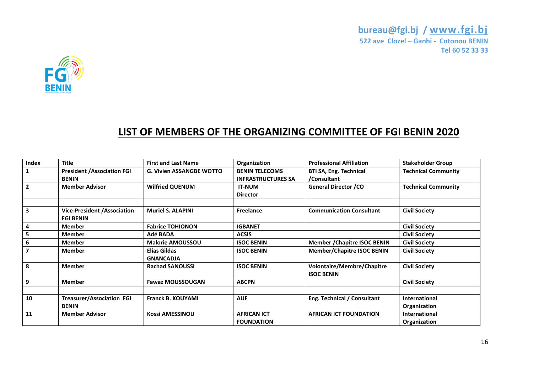

## **LIST OF MEMBERS OF THE ORGANIZING COMMITTEE OF FGI BENIN 2020**

| Index                   | <b>Title</b>                                       | <b>First and Last Name</b>       | Organization                                       | <b>Professional Affiliation</b>                        | <b>Stakeholder Group</b>             |
|-------------------------|----------------------------------------------------|----------------------------------|----------------------------------------------------|--------------------------------------------------------|--------------------------------------|
| 1                       | <b>President / Association FGI</b><br><b>BENIN</b> | <b>G. Vivien ASSANGBE WOTTO</b>  | <b>BENIN TELECOMS</b><br><b>INFRASTRUCTURES SA</b> | <b>BTI SA, Eng. Technical</b><br>/Consultant           | <b>Technical Community</b>           |
| $\overline{2}$          | <b>Member Advisor</b>                              | <b>Wilfried QUENUM</b>           | <b>IT-NUM</b><br><b>Director</b>                   | <b>General Director /CO</b>                            | <b>Technical Community</b>           |
| $\overline{\mathbf{3}}$ | Vice-President / Association<br><b>FGI BENIN</b>   | <b>Muriel S. ALAPINI</b>         | <b>Freelance</b>                                   | <b>Communication Consultant</b>                        | <b>Civil Society</b>                 |
| 4                       | <b>Member</b>                                      | <b>Fabrice TOHIONON</b>          | <b>IGBANET</b>                                     |                                                        | <b>Civil Society</b>                 |
| 5                       | <b>Member</b>                                      | Adé BADA                         | <b>ACSIS</b>                                       |                                                        | <b>Civil Society</b>                 |
| 6                       | <b>Member</b>                                      | <b>Malorie AMOUSSOU</b>          | <b>ISOC BENIN</b>                                  | <b>Member / Chapitre ISOC BENIN</b>                    | <b>Civil Society</b>                 |
| $\overline{\mathbf{z}}$ | <b>Member</b>                                      | Elias Gildas<br><b>GNANCADJA</b> | <b>ISOC BENIN</b>                                  | <b>Member/Chapitre ISOC BENIN</b>                      | <b>Civil Society</b>                 |
| 8                       | <b>Member</b>                                      | <b>Rachad SANOUSSI</b>           | <b>ISOC BENIN</b>                                  | <b>Volontaire/Membre/Chapitre</b><br><b>ISOC BENIN</b> | <b>Civil Society</b>                 |
| 9                       | <b>Member</b>                                      | <b>Fawaz MOUSSOUGAN</b>          | <b>ABCPN</b>                                       |                                                        | <b>Civil Society</b>                 |
|                         |                                                    |                                  |                                                    |                                                        |                                      |
| 10                      | <b>Treasurer/Association FGI</b><br><b>BENIN</b>   | <b>Franck B. KOUYAMI</b>         | <b>AUF</b>                                         | Eng. Technical / Consultant                            | <b>International</b><br>Organization |
| 11                      | <b>Member Advisor</b>                              | <b>Kossi AMESSINOU</b>           | <b>AFRICAN ICT</b><br><b>FOUNDATION</b>            | <b>AFRICAN ICT FOUNDATION</b>                          | <b>International</b><br>Organization |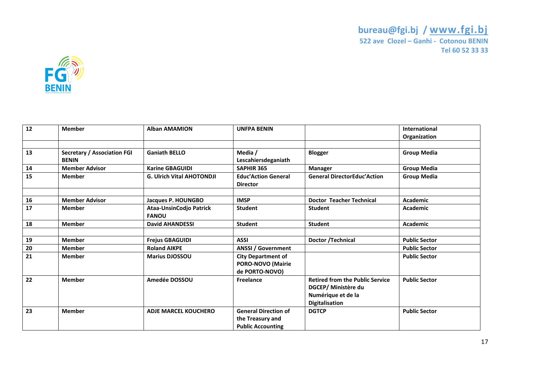

| 12 | <b>Member</b>                                      | <b>Alban AMAMION</b>                           | <b>UNFPA BENIN</b>                                                          |                                                                                                              | <b>International</b><br>Organization |
|----|----------------------------------------------------|------------------------------------------------|-----------------------------------------------------------------------------|--------------------------------------------------------------------------------------------------------------|--------------------------------------|
|    |                                                    |                                                |                                                                             |                                                                                                              |                                      |
| 13 | <b>Secretary / Association FGI</b><br><b>BENIN</b> | <b>Ganiath BELLO</b>                           | Media /<br>Lescahiersdeganiath                                              | <b>Blogger</b>                                                                                               | <b>Group Media</b>                   |
| 14 | <b>Member Advisor</b>                              | <b>Karine GBAGUIDI</b>                         | <b>SAPHIR 365</b>                                                           | <b>Manager</b>                                                                                               | <b>Group Media</b>                   |
| 15 | <b>Member</b>                                      | <b>G. Ulrich Vital AHOTONDJI</b>               | <b>Educ'Action General</b><br><b>Director</b>                               | <b>General DirectorEduc'Action</b>                                                                           | <b>Group Media</b>                   |
|    |                                                    |                                                |                                                                             |                                                                                                              |                                      |
| 16 | <b>Member Advisor</b>                              | Jacques P. HOUNGBO                             | <b>IMSP</b>                                                                 | <b>Doctor Teacher Technical</b>                                                                              | <b>Academic</b>                      |
| 17 | <b>Member</b>                                      | <b>Ataa-UnsinCodjo Patrick</b><br><b>FANOU</b> | <b>Student</b>                                                              | <b>Student</b>                                                                                               | <b>Academic</b>                      |
| 18 | <b>Member</b>                                      | <b>David AHANDESSI</b>                         | <b>Student</b>                                                              | <b>Student</b>                                                                                               | <b>Academic</b>                      |
|    |                                                    |                                                |                                                                             |                                                                                                              |                                      |
| 19 | <b>Member</b>                                      | <b>Frejus GBAGUIDI</b>                         | <b>ASSI</b>                                                                 | Doctor / Technical                                                                                           | <b>Public Sector</b>                 |
| 20 | <b>Member</b>                                      | <b>Roland AIKPE</b>                            | <b>ANSSI / Government</b>                                                   |                                                                                                              | <b>Public Sector</b>                 |
| 21 | <b>Member</b>                                      | <b>Marius DJOSSOU</b>                          | <b>City Department of</b><br>PORO-NOVO (Mairie<br>de PORTO-NOVO)            |                                                                                                              | <b>Public Sector</b>                 |
| 22 | <b>Member</b>                                      | Amedée DOSSOU                                  | Freelance                                                                   | <b>Retired from the Public Service</b><br>DGCEP/ Ministère du<br>Numérique et de la<br><b>Digitalisation</b> | <b>Public Sector</b>                 |
| 23 | <b>Member</b>                                      | <b>ADJE MARCEL KOUCHERO</b>                    | <b>General Direction of</b><br>the Treasury and<br><b>Public Accounting</b> | <b>DGTCP</b>                                                                                                 | <b>Public Sector</b>                 |